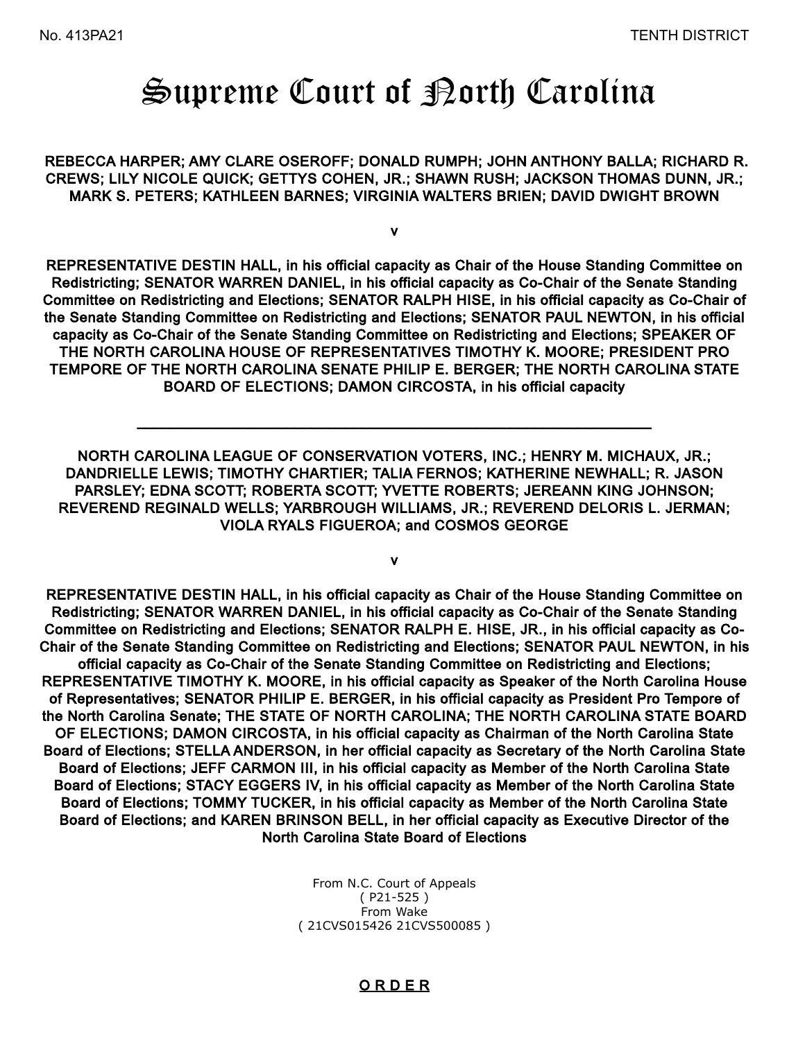# Supreme Court of Borth Carolina

 REBECCA HARPER; AMY CLARE OSEROFF; DONALD RUMPH; JOHN ANTHONY BALLA; RICHARD R. CREWS; LILY NICOLE QUICK; GETTYS COHEN, JR.; SHAWN RUSH; JACKSON THOMAS DUNN, JR.; MARK S. PETERS; KATHLEEN BARNES; VIRGINIA WALTERS BRIEN; DAVID DWIGHT BROWN

v

REPRESENTATIVE DESTIN HALL, in his official capacity as Chair of the House Standing Committee on Redistricting; SENATOR WARREN DANIEL, in his official capacity as Co-Chair of the Senate Standing Committee on Redistricting and Elections; SENATOR RALPH HISE, in his official capacity as Co-Chair of the Senate Standing Committee on Redistricting and Elections; SENATOR PAUL NEWTON, in his official capacity as Co-Chair of the Senate Standing Committee on Redistricting and Elections; SPEAKER OF THE NORTH CAROLINA HOUSE OF REPRESENTATIVES TIMOTHY K. MOORE; PRESIDENT PRO TEMPORE OF THE NORTH CAROLINA SENATE PHILIP E. BERGER; THE NORTH CAROLINA STATE BOARD OF ELECTIONS; DAMON CIRCOSTA, in his official capacity

NORTH CAROLINA LEAGUE OF CONSERVATION VOTERS, INC.; HENRY M. MICHAUX, JR.; DANDRIELLE LEWIS; TIMOTHY CHARTIER; TALIA FERNOS; KATHERINE NEWHALL; R. JASON PARSLEY; EDNA SCOTT; ROBERTA SCOTT; YVETTE ROBERTS; JEREANN KING JOHNSON; REVEREND REGINALD WELLS; YARBROUGH WILLIAMS, JR.; REVEREND DELORIS L. JERMAN; VIOLA RYALS FIGUEROA; and COSMOS GEORGE

v

REPRESENTATIVE DESTIN HALL, in his official capacity as Chair of the House Standing Committee on Redistricting; SENATOR WARREN DANIEL, in his official capacity as Co-Chair of the Senate Standing Committee on Redistricting and Elections; SENATOR RALPH E. HISE, JR., in his official capacity as Co-Chair of the Senate Standing Committee on Redistricting and Elections; SENATOR PAUL NEWTON, in his official capacity as Co-Chair of the Senate Standing Committee on Redistricting and Elections; REPRESENTATIVE TIMOTHY K. MOORE, in his official capacity as Speaker of the North Carolina House of Representatives; SENATOR PHILIP E. BERGER, in his official capacity as President Pro Tempore of the North Carolina Senate; THE STATE OF NORTH CAROLINA; THE NORTH CAROLINA STATE BOARD OF ELECTIONS; DAMON CIRCOSTA, in his official capacity as Chairman of the North Carolina State Board of Elections; STELLA ANDERSON, in her official capacity as Secretary of the North Carolina State Board of Elections; JEFF CARMON III, in his official capacity as Member of the North Carolina State Board of Elections; STACY EGGERS IV, in his official capacity as Member of the North Carolina State Board of Elections; TOMMY TUCKER, in his official capacity as Member of the North Carolina State Board of Elections; and KAREN BRINSON BELL, in her official capacity as Executive Director of the North Carolina State Board of Elections

> From N.C. Court of Appeals ( P21-525 ) From Wake ( 21CVS015426 21CVS500085 )

### O R D E R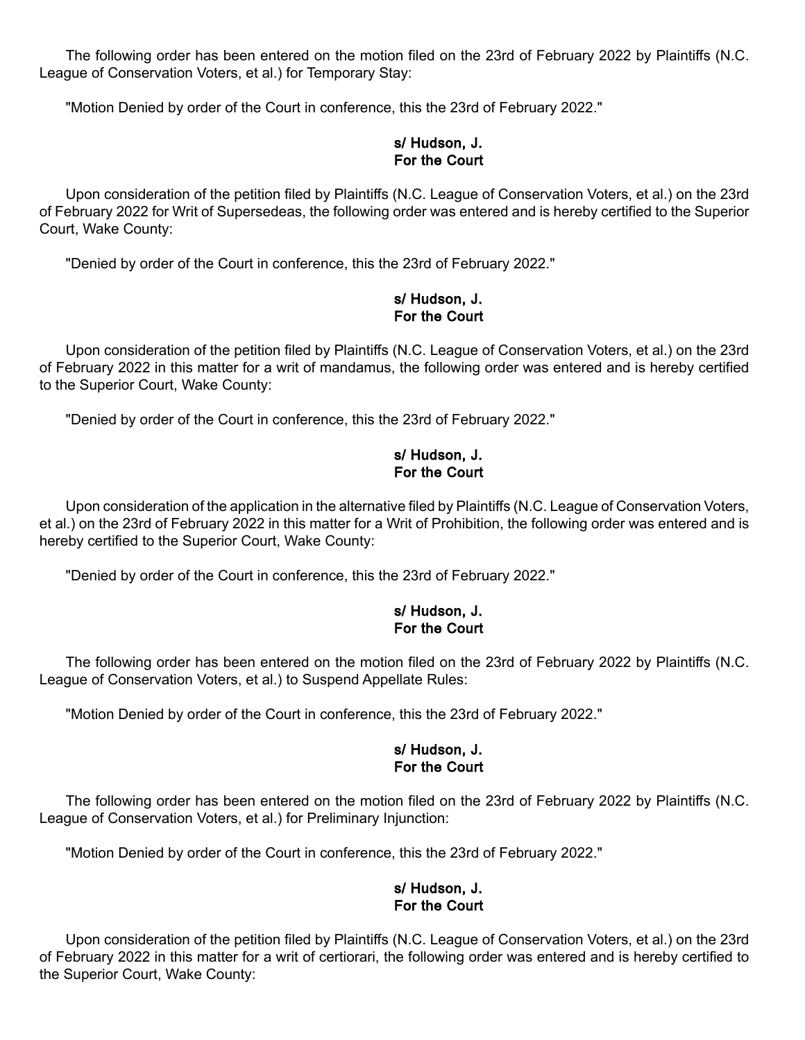The following order has been entered on the motion filed on the 23rd of February 2022 by Plaintiffs (N.C. League of Conservation Voters, et al.) for Temporary Stay:

"Motion Denied by order of the Court in conference, this the 23rd of February 2022."

## s/ Hudson, J. For the Court

Upon consideration of the petition filed by Plaintiffs (N.C. League of Conservation Voters, et al.) on the 23rd of February 2022 for Writ of Supersedeas, the following order was entered and is hereby certified to the Superior Court, Wake County:

"Denied by order of the Court in conference, this the 23rd of February 2022."

### s/ Hudson, J. For the Court

Upon consideration of the petition filed by Plaintiffs (N.C. League of Conservation Voters, et al.) on the 23rd of February 2022 in this matter for a writ of mandamus, the following order was entered and is hereby certified to the Superior Court, Wake County:

"Denied by order of the Court in conference, this the 23rd of February 2022."

# s/ Hudson, J. For the Court

Upon consideration of the application in the alternative filed by Plaintiffs (N.C. League of Conservation Voters, et al.) on the 23rd of February 2022 in this matter for a Writ of Prohibition, the following order was entered and is hereby certified to the Superior Court, Wake County:

"Denied by order of the Court in conference, this the 23rd of February 2022."

# s/ Hudson, J. For the Court

The following order has been entered on the motion filed on the 23rd of February 2022 by Plaintiffs (N.C. League of Conservation Voters, et al.) to Suspend Appellate Rules:

"Motion Denied by order of the Court in conference, this the 23rd of February 2022."

### s/ Hudson, J. For the Court

The following order has been entered on the motion filed on the 23rd of February 2022 by Plaintiffs (N.C. League of Conservation Voters, et al.) for Preliminary Injunction:

"Motion Denied by order of the Court in conference, this the 23rd of February 2022."

## s/ Hudson, J. For the Court

Upon consideration of the petition filed by Plaintiffs (N.C. League of Conservation Voters, et al.) on the 23rd of February 2022 in this matter for a writ of certiorari, the following order was entered and is hereby certified to the Superior Court, Wake County: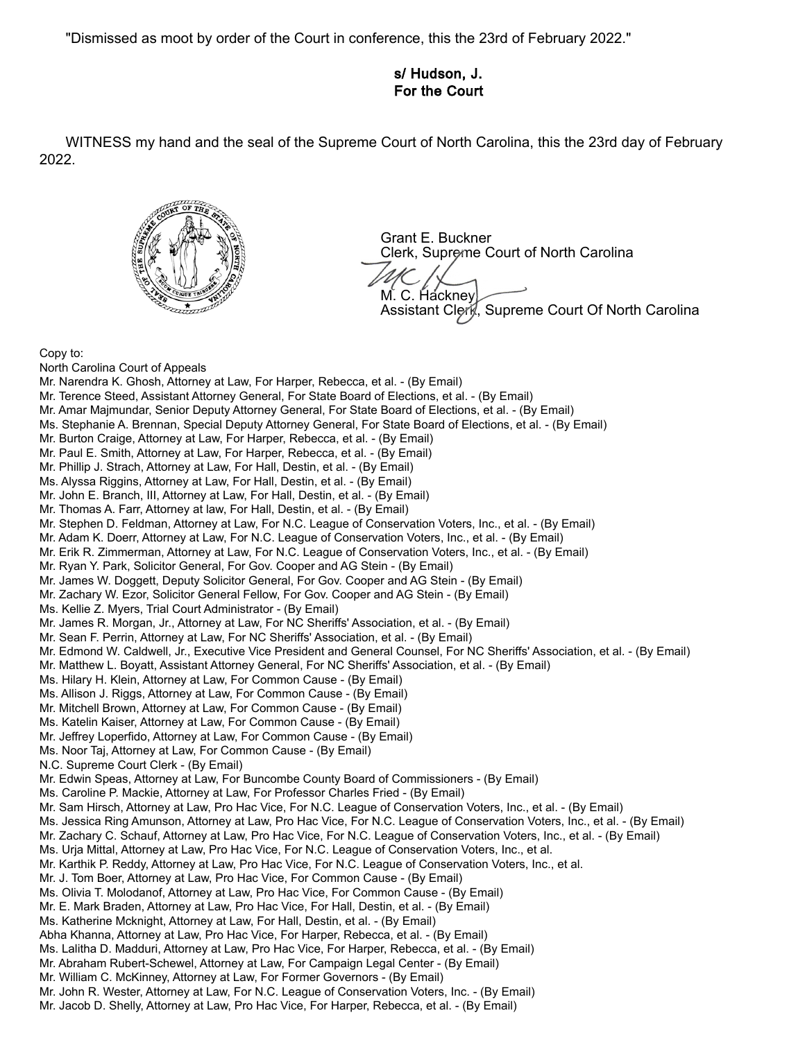"Dismissed as moot by order of the Court in conference, this the 23rd of February 2022."

## s/ Hudson, J. For the Court

WITNESS my hand and the seal of the Supreme Court of North Carolina, this the 23rd day of February 2022.



Grant E. Buckner Clerk, Supreme Court of North Carolina M. C. Hackney Assistant Clerk, Supreme Court Of North Carolina

Copy to:

North Carolina Court of Appeals Mr. Narendra K. Ghosh, Attorney at Law, For Harper, Rebecca, et al. - (By Email) Mr. Terence Steed, Assistant Attorney General, For State Board of Elections, et al. - (By Email) Mr. Amar Majmundar, Senior Deputy Attorney General, For State Board of Elections, et al. - (By Email) Ms. Stephanie A. Brennan, Special Deputy Attorney General, For State Board of Elections, et al. - (By Email) Mr. Burton Craige, Attorney at Law, For Harper, Rebecca, et al. - (By Email) Mr. Paul E. Smith, Attorney at Law, For Harper, Rebecca, et al. - (By Email) Mr. Phillip J. Strach, Attorney at Law, For Hall, Destin, et al. - (By Email) Ms. Alyssa Riggins, Attorney at Law, For Hall, Destin, et al. - (By Email) Mr. John E. Branch, III, Attorney at Law, For Hall, Destin, et al. - (By Email) Mr. Thomas A. Farr, Attorney at law, For Hall, Destin, et al. - (By Email) Mr. Stephen D. Feldman, Attorney at Law, For N.C. League of Conservation Voters, Inc., et al. - (By Email) Mr. Adam K. Doerr, Attorney at Law, For N.C. League of Conservation Voters, Inc., et al. - (By Email) Mr. Erik R. Zimmerman, Attorney at Law, For N.C. League of Conservation Voters, Inc., et al. - (By Email) Mr. Ryan Y. Park, Solicitor General, For Gov. Cooper and AG Stein - (By Email) Mr. James W. Doggett, Deputy Solicitor General, For Gov. Cooper and AG Stein - (By Email) Mr. Zachary W. Ezor, Solicitor General Fellow, For Gov. Cooper and AG Stein - (By Email) Ms. Kellie Z. Myers, Trial Court Administrator - (By Email) Mr. James R. Morgan, Jr., Attorney at Law, For NC Sheriffs' Association, et al. - (By Email) Mr. Sean F. Perrin, Attorney at Law, For NC Sheriffs' Association, et al. - (By Email) Mr. Edmond W. Caldwell, Jr., Executive Vice President and General Counsel, For NC Sheriffs' Association, et al. - (By Email) Mr. Matthew L. Boyatt, Assistant Attorney General, For NC Sheriffs' Association, et al. - (By Email) Ms. Hilary H. Klein, Attorney at Law, For Common Cause - (By Email) Ms. Allison J. Riggs, Attorney at Law, For Common Cause - (By Email) Mr. Mitchell Brown, Attorney at Law, For Common Cause - (By Email) Ms. Katelin Kaiser, Attorney at Law, For Common Cause - (By Email) Mr. Jeffrey Loperfido, Attorney at Law, For Common Cause - (By Email) Ms. Noor Taj, Attorney at Law, For Common Cause - (By Email) N.C. Supreme Court Clerk - (By Email) Mr. Edwin Speas, Attorney at Law, For Buncombe County Board of Commissioners - (By Email) Ms. Caroline P. Mackie, Attorney at Law, For Professor Charles Fried - (By Email) Mr. Sam Hirsch, Attorney at Law, Pro Hac Vice, For N.C. League of Conservation Voters, Inc., et al. - (By Email) Ms. Jessica Ring Amunson, Attorney at Law, Pro Hac Vice, For N.C. League of Conservation Voters, Inc., et al. - (By Email) Mr. Zachary C. Schauf, Attorney at Law, Pro Hac Vice, For N.C. League of Conservation Voters, Inc., et al. - (By Email) Ms. Urja Mittal, Attorney at Law, Pro Hac Vice, For N.C. League of Conservation Voters, Inc., et al. Mr. Karthik P. Reddy, Attorney at Law, Pro Hac Vice, For N.C. League of Conservation Voters, Inc., et al. Mr. J. Tom Boer, Attorney at Law, Pro Hac Vice, For Common Cause - (By Email) Ms. Olivia T. Molodanof, Attorney at Law, Pro Hac Vice, For Common Cause - (By Email) Mr. E. Mark Braden, Attorney at Law, Pro Hac Vice, For Hall, Destin, et al. - (By Email) Ms. Katherine Mcknight, Attorney at Law, For Hall, Destin, et al. - (By Email) Abha Khanna, Attorney at Law, Pro Hac Vice, For Harper, Rebecca, et al. - (By Email) Ms. Lalitha D. Madduri, Attorney at Law, Pro Hac Vice, For Harper, Rebecca, et al. - (By Email) Mr. Abraham Rubert-Schewel, Attorney at Law, For Campaign Legal Center - (By Email) Mr. William C. McKinney, Attorney at Law, For Former Governors - (By Email) Mr. John R. Wester, Attorney at Law, For N.C. League of Conservation Voters, Inc. - (By Email) Mr. Jacob D. Shelly, Attorney at Law, Pro Hac Vice, For Harper, Rebecca, et al. - (By Email)